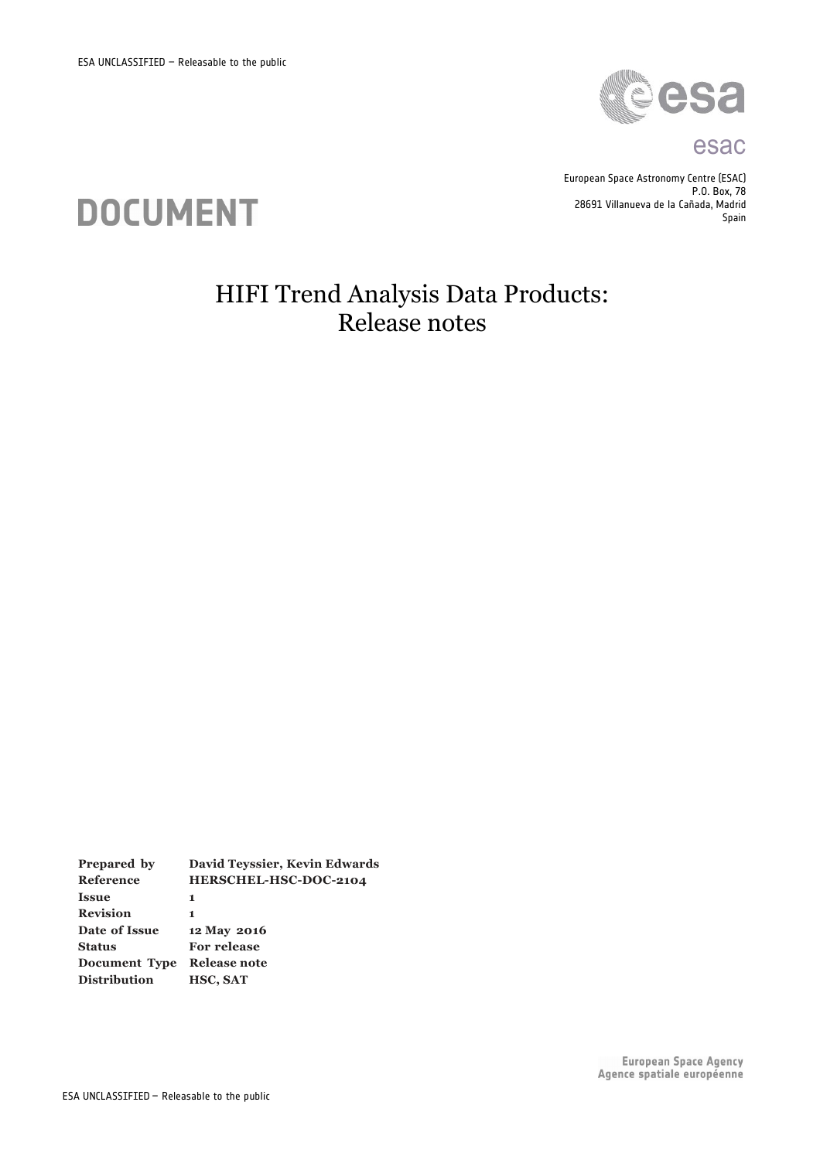

#### esac

European Space Astronomy Centre (ESAC) P.O. Box, 78 28691 Villanueva de la Cañada, Madrid Spain



# HIFI Trend Analysis Data Products: Release notes

**Prepared by David Teyssier, Kevin Edwards Reference HERSCHEL-HSC-DOC-2104 Issue 1 Revision 1 Date of Issue 12 May 2016 Status For release Document Type Release note Distribution HSC, SAT**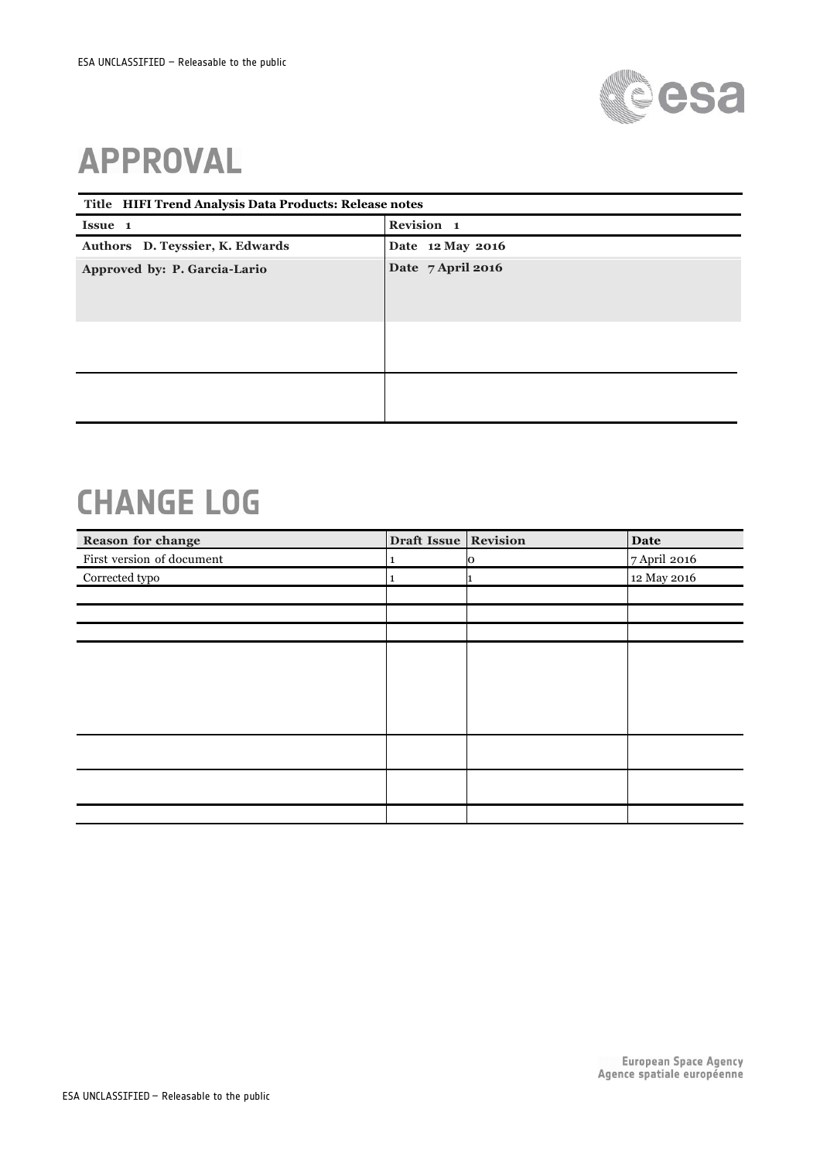

# **APPROVAL**

| Title HIFI Trend Analysis Data Products: Release notes |                   |  |  |
|--------------------------------------------------------|-------------------|--|--|
| Issue 1                                                | Revision 1        |  |  |
| Authors D. Teyssier, K. Edwards                        | Date 12 May 2016  |  |  |
| Approved by: P. Garcia-Lario                           | Date 7 April 2016 |  |  |
|                                                        |                   |  |  |

# **CHANGE LOG**

| Reason for change         | Draft Issue Revision |   | <b>Date</b>  |
|---------------------------|----------------------|---|--------------|
| First version of document | 1                    | Ю | 7 April 2016 |
| Corrected typo            |                      |   | 12 May 2016  |
|                           |                      |   |              |
|                           |                      |   |              |
|                           |                      |   |              |
|                           |                      |   |              |
|                           |                      |   |              |
|                           |                      |   |              |
|                           |                      |   |              |
|                           |                      |   |              |
|                           |                      |   |              |
|                           |                      |   |              |
|                           |                      |   |              |
|                           |                      |   |              |
|                           |                      |   |              |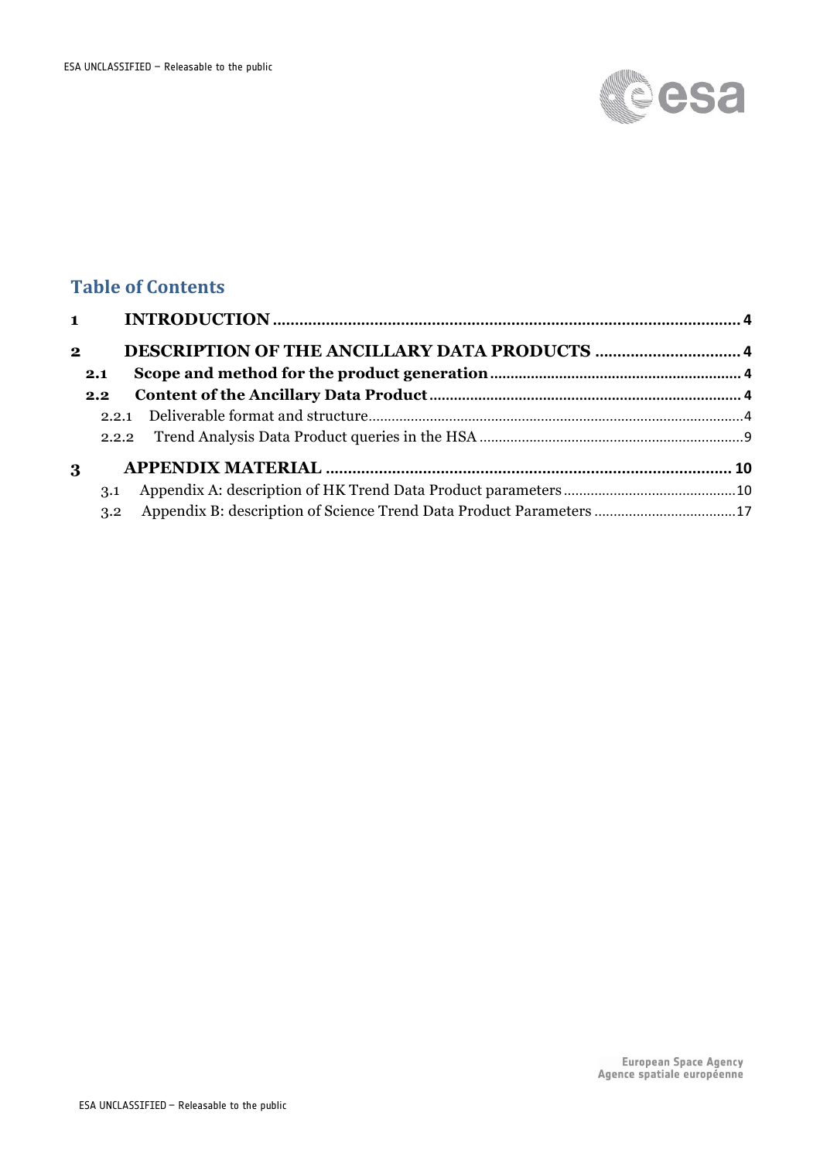

## **Table of Contents**

| 2.1           |                                                                     |  |
|---------------|---------------------------------------------------------------------|--|
| $2.2^{\circ}$ |                                                                     |  |
|               |                                                                     |  |
|               |                                                                     |  |
|               |                                                                     |  |
| 3.1           |                                                                     |  |
| 3.2           | Appendix B: description of Science Trend Data Product Parameters 17 |  |
|               |                                                                     |  |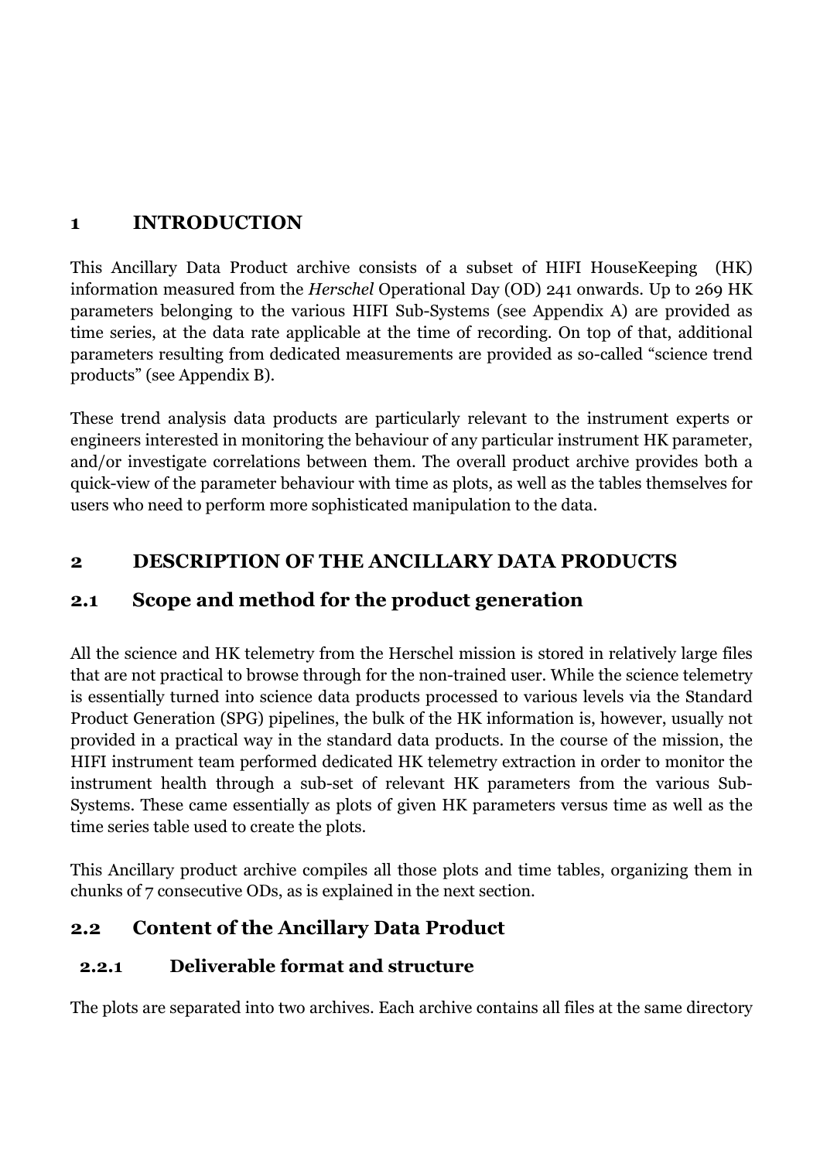#### **1 INTRODUCTION**

This Ancillary Data Product archive consists of a subset of HIFI HouseKeeping (HK) information measured from the *Herschel* Operational Day (OD) 241 onwards. Up to 269 HK parameters belonging to the various HIFI Sub-Systems (see Appendix A) are provided as time series, at the data rate applicable at the time of recording. On top of that, additional parameters resulting from dedicated measurements are provided as so-called "science trend products" (see Appendix B).

These trend analysis data products are particularly relevant to the instrument experts or engineers interested in monitoring the behaviour of any particular instrument HK parameter, and/or investigate correlations between them. The overall product archive provides both a quick-view of the parameter behaviour with time as plots, as well as the tables themselves for users who need to perform more sophisticated manipulation to the data.

## **2 DESCRIPTION OF THE ANCILLARY DATA PRODUCTS**

## **2.1 Scope and method for the product generation**

All the science and HK telemetry from the Herschel mission is stored in relatively large files that are not practical to browse through for the non-trained user. While the science telemetry is essentially turned into science data products processed to various levels via the Standard Product Generation (SPG) pipelines, the bulk of the HK information is, however, usually not provided in a practical way in the standard data products. In the course of the mission, the HIFI instrument team performed dedicated HK telemetry extraction in order to monitor the instrument health through a sub-set of relevant HK parameters from the various Sub-Systems. These came essentially as plots of given HK parameters versus time as well as the time series table used to create the plots.

This Ancillary product archive compiles all those plots and time tables, organizing them in chunks of 7 consecutive ODs, as is explained in the next section.

## **2.2 Content of the Ancillary Data Product**

#### **2.2.1 Deliverable format and structure**

The plots are separated into two archives. Each archive contains all files at the same directory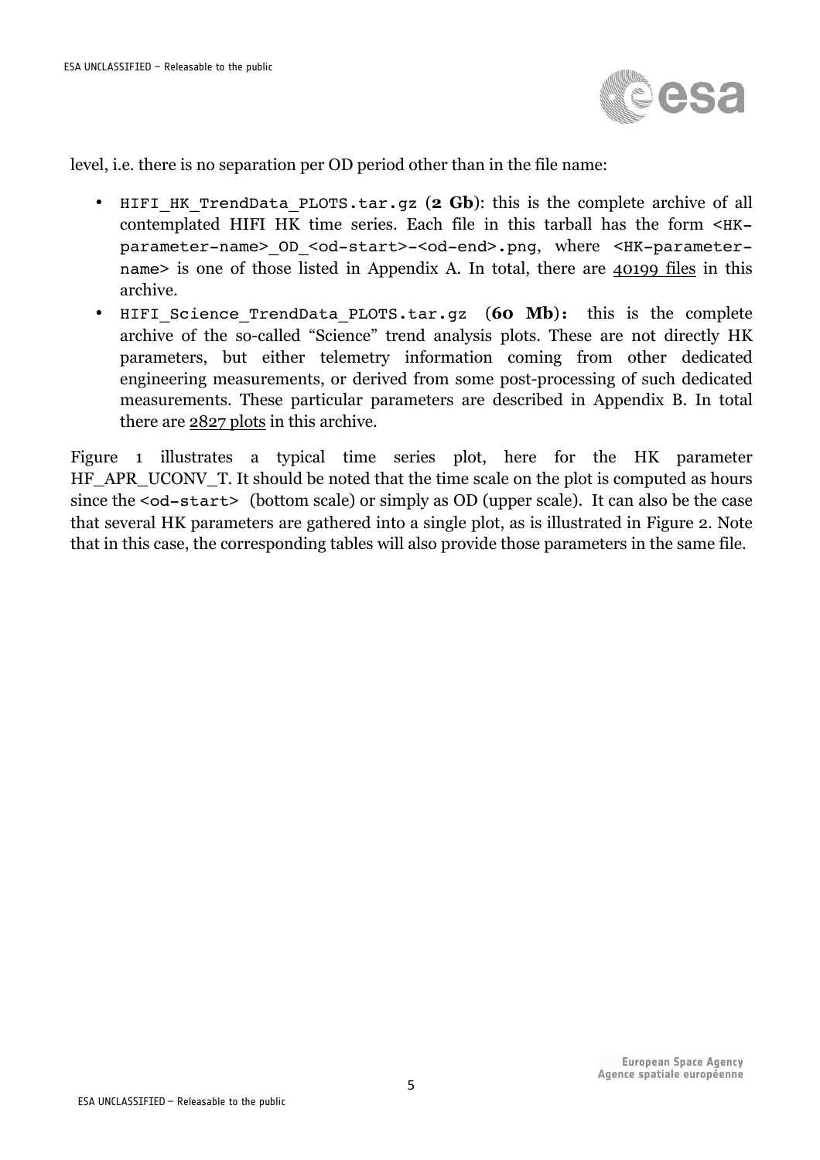

level, i.e. there is no separation per OD period other than in the file name:

- HIFI HK TrendData PLOTS.tar.gz (2 Gb): this is the complete archive of all contemplated HIFI HK time series. Each file in this tarball has the form  $\leq$ HK $$ parameter-name>\_OD\_<od-start>-<od-end>.png, where <HK-parametername> is one of those listed in Appendix A. In total, there are 40199 files in this archive.
- HIFI Science TrendData PLOTS.tar.gz (60 Mb): this is the complete archive of the so-called "Science" trend analysis plots. These are not directly HK parameters, but either telemetry information coming from other dedicated engineering measurements, or derived from some post-processing of such dedicated measurements. These particular parameters are described in Appendix B. In total there are 2827 plots in this archive.

Figure 1 illustrates a typical time series plot, here for the HK parameter HF\_APR\_UCONV\_T. It should be noted that the time scale on the plot is computed as hours since the <od-start> (bottom scale) or simply as OD (upper scale). It can also be the case that several HK parameters are gathered into a single plot, as is illustrated in Figure 2. Note that in this case, the corresponding tables will also provide those parameters in the same file.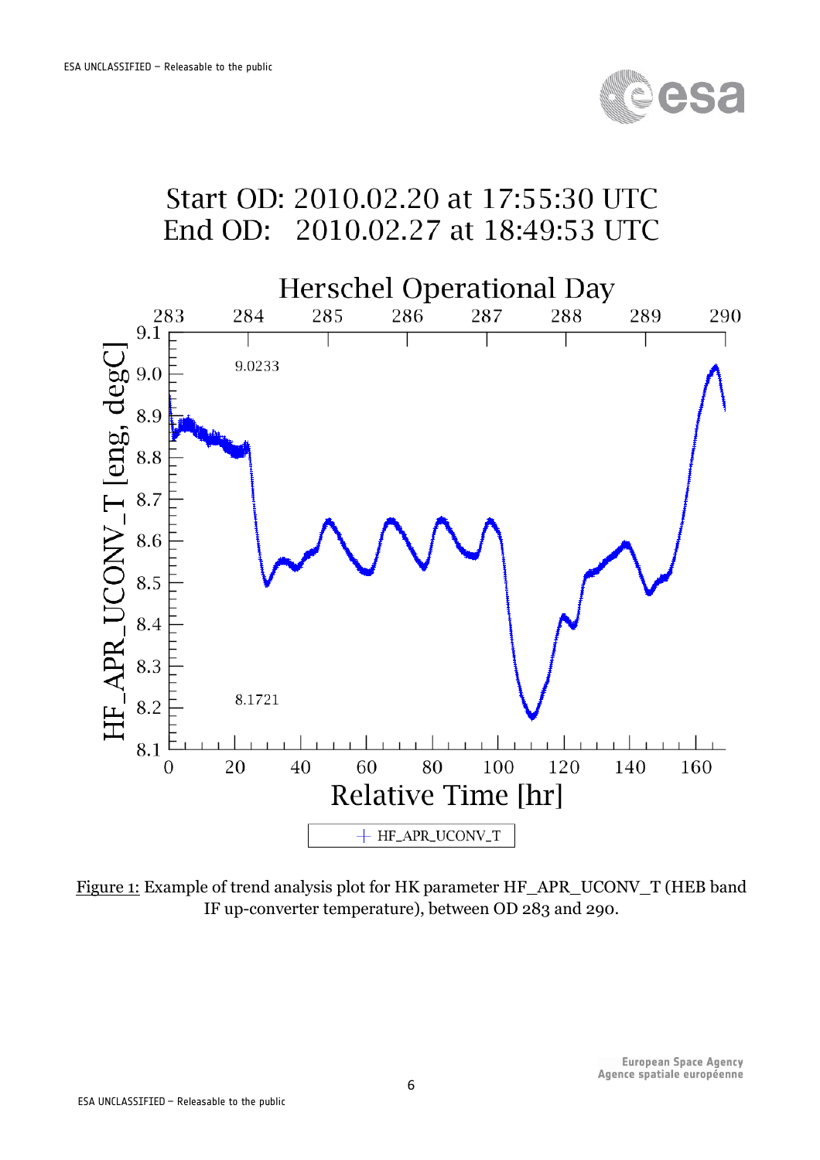



Figure 1: Example of trend analysis plot for HK parameter HF\_APR\_UCONV\_T (HEB band IF up-converter temperature), between OD 283 and 290.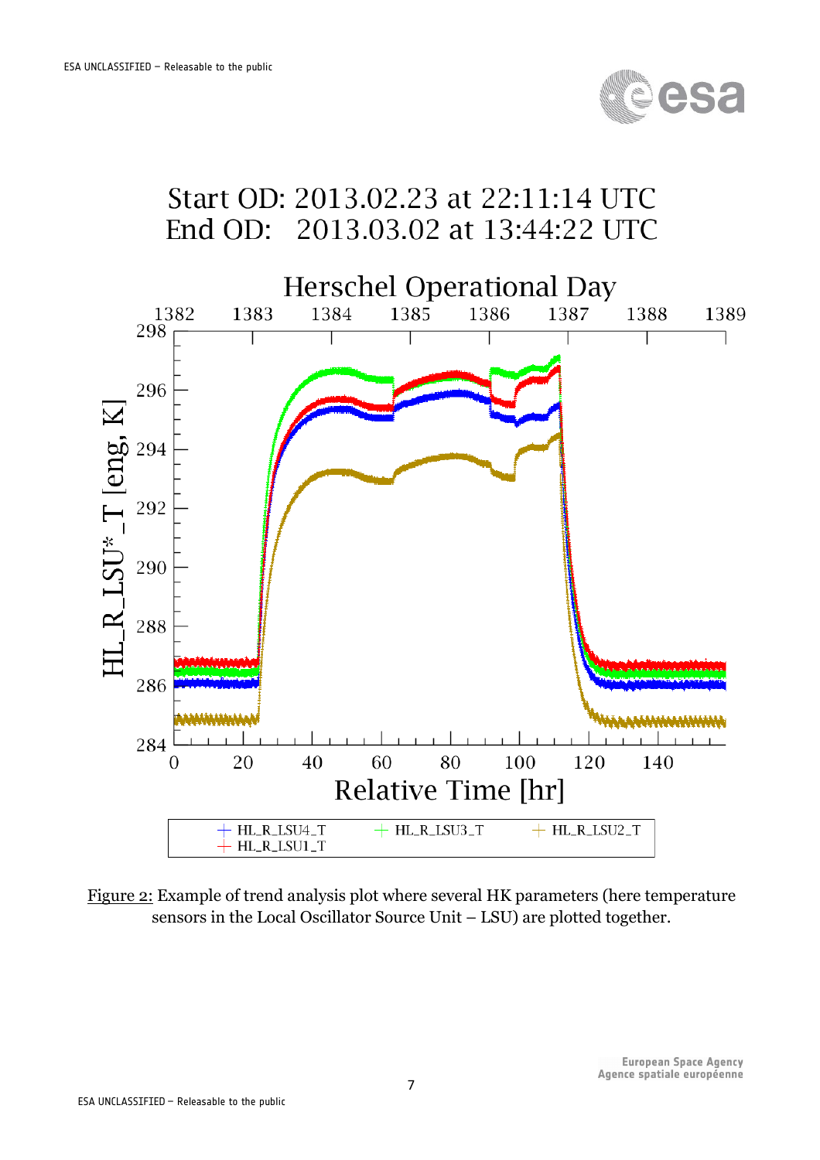

# Start OD: 2013.02.23 at 22:11:14 UTC End OD: 2013.03.02 at 13:44:22 UTC



Figure 2: Example of trend analysis plot where several HK parameters (here temperature sensors in the Local Oscillator Source Unit – LSU) are plotted together.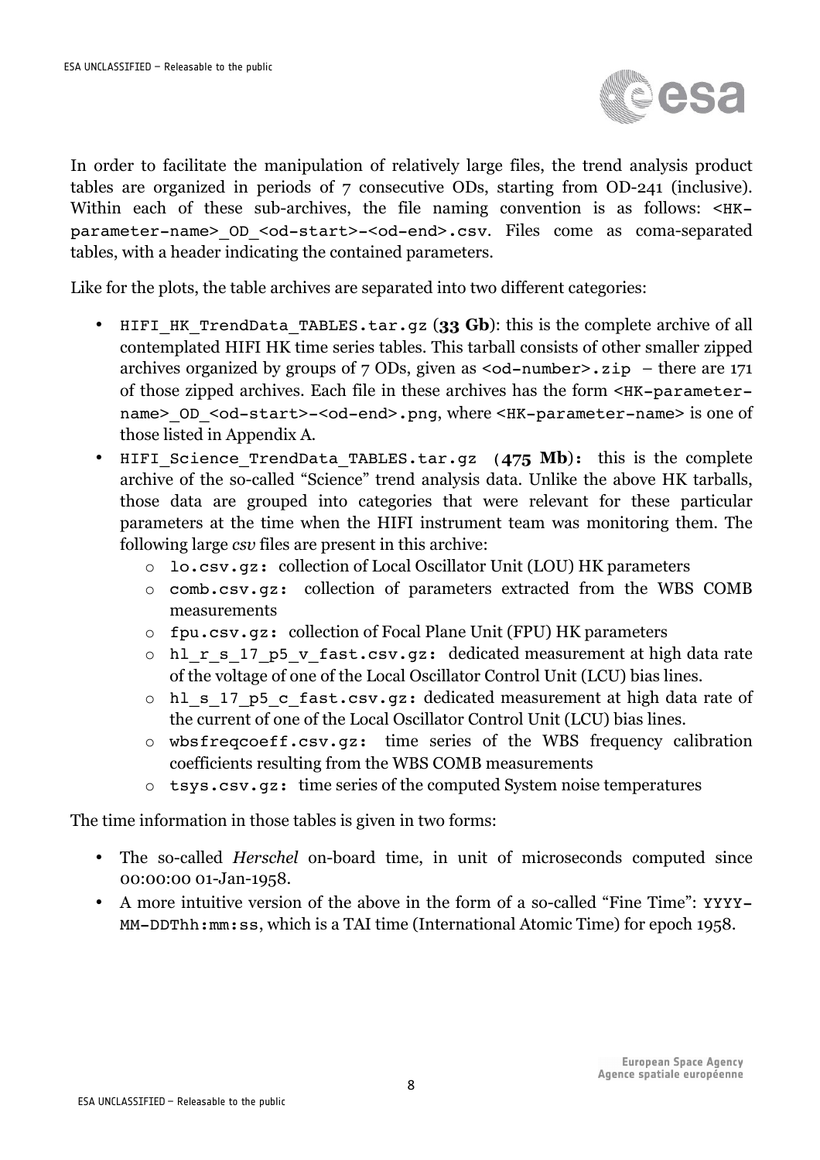

In order to facilitate the manipulation of relatively large files, the trend analysis product tables are organized in periods of 7 consecutive ODs, starting from OD-241 (inclusive). Within each of these sub-archives, the file naming convention is as follows:  $\leq HK$ parameter-name>\_OD\_<od-start>-<od-end>.csv. Files come as coma-separated tables, with a header indicating the contained parameters.

Like for the plots, the table archives are separated into two different categories:

- HIFI\_HK\_TrendData\_TABLES.tar.gz (**33 Gb**): this is the complete archive of all contemplated HIFI HK time series tables. This tarball consists of other smaller zipped archives organized by groups of  $7$  ODs, given as  $\le$ od-number>.zip – there are 171 of those zipped archives. Each file in these archives has the form <HK-parametername> OD <od-start>-<od-end>.png, where <HK-parameter-name> is one of those listed in Appendix A.
- HIFI Science TrendData TABLES.tar.gz (475 Mb): this is the complete archive of the so-called "Science" trend analysis data. Unlike the above HK tarballs, those data are grouped into categories that were relevant for these particular parameters at the time when the HIFI instrument team was monitoring them. The following large *csv* files are present in this archive:
	- o lo.csv.gz: collection of Local Oscillator Unit (LOU) HK parameters
	- o comb.csv.gz: collection of parameters extracted from the WBS COMB measurements
	- o fpu.csv.gz: collection of Focal Plane Unit (FPU) HK parameters
	- o hl r s 17 p5 v fast.csv.gz: dedicated measurement at high data rate of the voltage of one of the Local Oscillator Control Unit (LCU) bias lines.
	- o hl\_s\_17\_p5\_c\_fast.csv.gz: dedicated measurement at high data rate of the current of one of the Local Oscillator Control Unit (LCU) bias lines.
	- o wbsfreqcoeff.csv.gz: time series of the WBS frequency calibration coefficients resulting from the WBS COMB measurements
	- o tsys.csv.gz: time series of the computed System noise temperatures

The time information in those tables is given in two forms:

- The so-called *Herschel* on-board time, in unit of microseconds computed since 00:00:00 01-Jan-1958.
- A more intuitive version of the above in the form of a so-called "Fine Time": YYYY-MM-DDThh:mm:ss, which is a TAI time (International Atomic Time) for epoch 1958.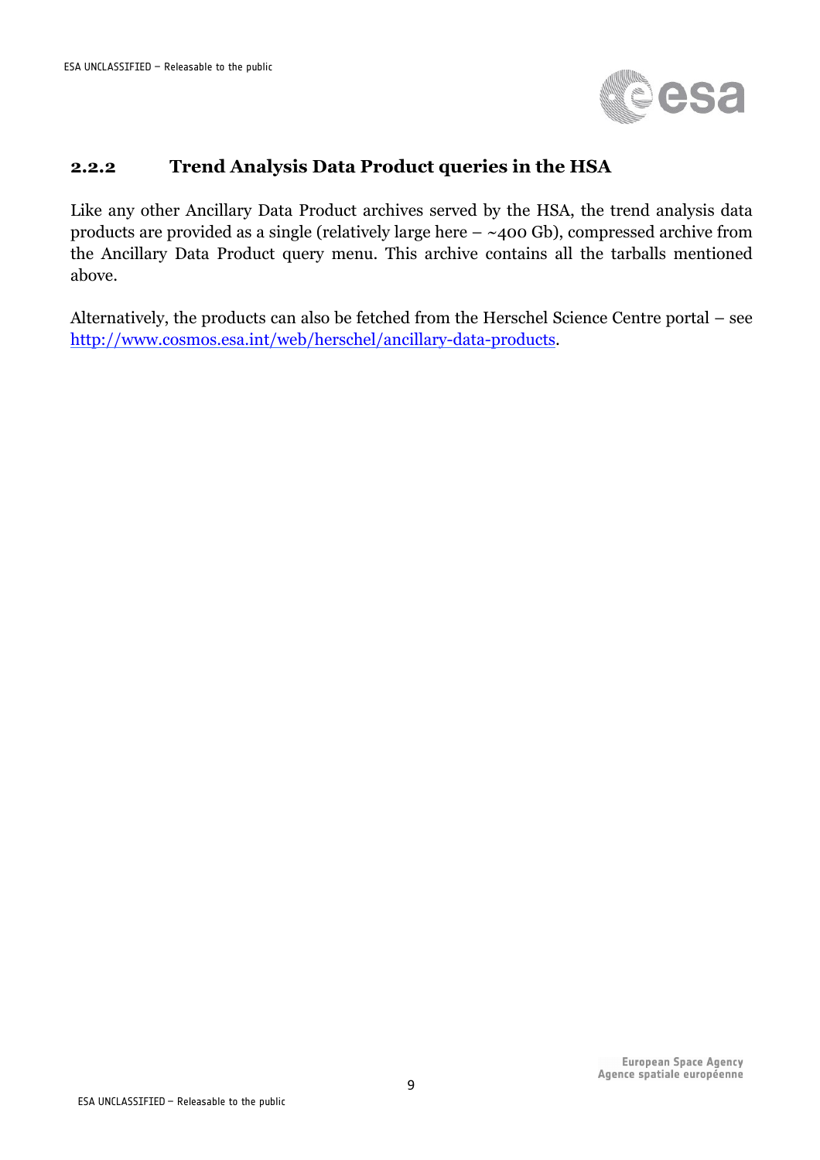

#### **2.2.2 Trend Analysis Data Product queries in the HSA**

Like any other Ancillary Data Product archives served by the HSA, the trend analysis data products are provided as a single (relatively large here  $-$  ~400 Gb), compressed archive from the Ancillary Data Product query menu. This archive contains all the tarballs mentioned above.

Alternatively, the products can also be fetched from the Herschel Science Centre portal – see http://www.cosmos.esa.int/web/herschel/ancillary-data-products.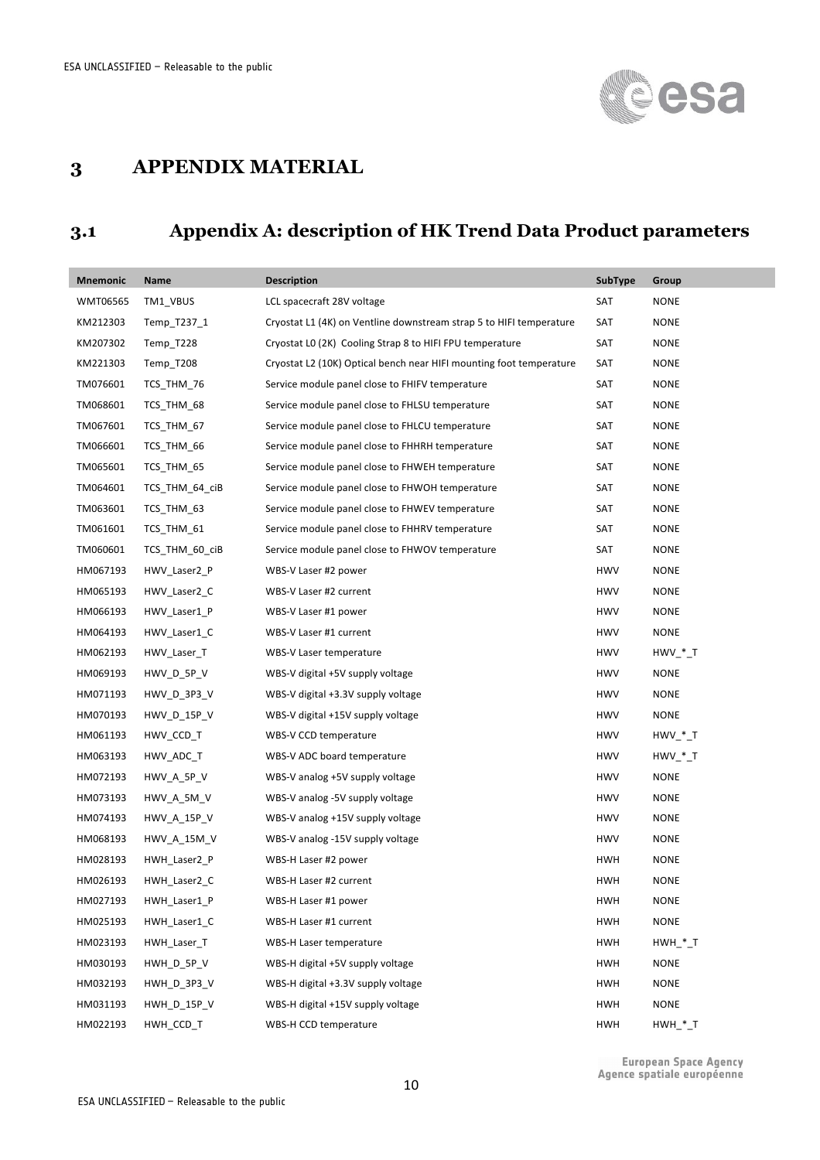

#### **3 APPENDIX MATERIAL**

#### **3.1 Appendix A: description of HK Trend Data Product parameters**

| <b>Mnemonic</b> | Name               | <b>Description</b>                                                  | <b>SubType</b> | Group                  |
|-----------------|--------------------|---------------------------------------------------------------------|----------------|------------------------|
| WMT06565        | TM1_VBUS           | LCL spacecraft 28V voltage                                          | SAT            | <b>NONE</b>            |
| KM212303        | Temp_T237_1        | Cryostat L1 (4K) on Ventline downstream strap 5 to HIFI temperature | SAT            | <b>NONE</b>            |
| KM207302        | Temp_T228          | Cryostat LO (2K) Cooling Strap 8 to HIFI FPU temperature            | SAT            | <b>NONE</b>            |
| KM221303        | Temp_T208          | Cryostat L2 (10K) Optical bench near HIFI mounting foot temperature | SAT            | <b>NONE</b>            |
| TM076601        | TCS_THM_76         | Service module panel close to FHIFV temperature                     | SAT            | <b>NONE</b>            |
| TM068601        | TCS_THM_68         | Service module panel close to FHLSU temperature                     | SAT            | <b>NONE</b>            |
| TM067601        | TCS THM 67         | Service module panel close to FHLCU temperature                     | SAT            | <b>NONE</b>            |
| TM066601        | TCS THM 66         | Service module panel close to FHHRH temperature                     | SAT            | <b>NONE</b>            |
| TM065601        | TCS THM 65         | Service module panel close to FHWEH temperature                     | SAT            | <b>NONE</b>            |
| TM064601        | TCS_THM_64_ciB     | Service module panel close to FHWOH temperature                     | SAT            | <b>NONE</b>            |
| TM063601        | TCS_THM_63         | Service module panel close to FHWEV temperature                     | SAT            | <b>NONE</b>            |
| TM061601        | TCS_THM_61         | Service module panel close to FHHRV temperature                     | SAT            | <b>NONE</b>            |
| TM060601        | TCS_THM_60_ciB     | Service module panel close to FHWOV temperature                     | SAT            | <b>NONE</b>            |
| HM067193        | HWV_Laser2_P       | WBS-V Laser #2 power                                                | <b>HWV</b>     | <b>NONE</b>            |
| HM065193        | HWV_Laser2_C       | WBS-V Laser #2 current                                              | <b>HWV</b>     | <b>NONE</b>            |
| HM066193        | HWV_Laser1_P       | WBS-V Laser #1 power                                                | <b>HWV</b>     | <b>NONE</b>            |
| HM064193        | HWV_Laser1_C       | WBS-V Laser #1 current                                              | <b>HWV</b>     | <b>NONE</b>            |
| HM062193        | HWV_Laser_T        | WBS-V Laser temperature                                             | <b>HWV</b>     | HWV * T                |
| HM069193        | HWV_D_5P_V         | WBS-V digital +5V supply voltage                                    | <b>HWV</b>     | <b>NONE</b>            |
| HM071193        | HWV_D_3P3_V        | WBS-V digital +3.3V supply voltage                                  | <b>HWV</b>     | <b>NONE</b>            |
| HM070193        | HWV_D_15P_V        | WBS-V digital +15V supply voltage                                   | <b>HWV</b>     | <b>NONE</b>            |
| HM061193        | HWV_CCD_T          | WBS-V CCD temperature                                               | <b>HWV</b>     | $H W V$ * T            |
| HM063193        | HWV_ADC_T          | WBS-V ADC board temperature                                         | <b>HWV</b>     | $H W V$ * T            |
| HM072193        | HWV_A_5P_V         | WBS-V analog +5V supply voltage                                     | <b>HWV</b>     | <b>NONE</b>            |
| HM073193        | HWV_A_5M_V         | WBS-V analog -5V supply voltage                                     | <b>HWV</b>     | <b>NONE</b>            |
| HM074193        | HWV_A_15P_V        | WBS-V analog +15V supply voltage                                    | <b>HWV</b>     | <b>NONE</b>            |
| HM068193        | <b>HWV_A_15M_V</b> | WBS-V analog -15V supply voltage                                    | <b>HWV</b>     | <b>NONE</b>            |
| HM028193        | HWH_Laser2_P       | WBS-H Laser #2 power                                                | <b>HWH</b>     | <b>NONE</b>            |
| HM026193        | HWH Laser2 C       | WBS-H Laser #2 current                                              | <b>HWH</b>     | <b>NONE</b>            |
| HM027193        | HWH_Laser1_P       | WBS-H Laser #1 power                                                | <b>HWH</b>     | <b>NONE</b>            |
| HM025193        | HWH Laser1 C       | WBS-H Laser #1 current                                              | <b>HWH</b>     | <b>NONE</b>            |
| HM023193        | HWH_Laser_T        | WBS-H Laser temperature                                             | <b>HWH</b>     | $HWH$ _*_T             |
| HM030193        | HWH_D_5P_V         | WBS-H digital +5V supply voltage                                    | <b>HWH</b>     | <b>NONE</b>            |
| HM032193        | HWH D 3P3 V        | WBS-H digital +3.3V supply voltage                                  | <b>HWH</b>     | <b>NONE</b>            |
| HM031193        | HWH_D_15P_V        | WBS-H digital +15V supply voltage                                   | <b>HWH</b>     | <b>NONE</b>            |
| HM022193        | HWH_CCD_T          | WBS-H CCD temperature                                               | <b>HWH</b>     | $HWH$ <sub>_</sub> *_T |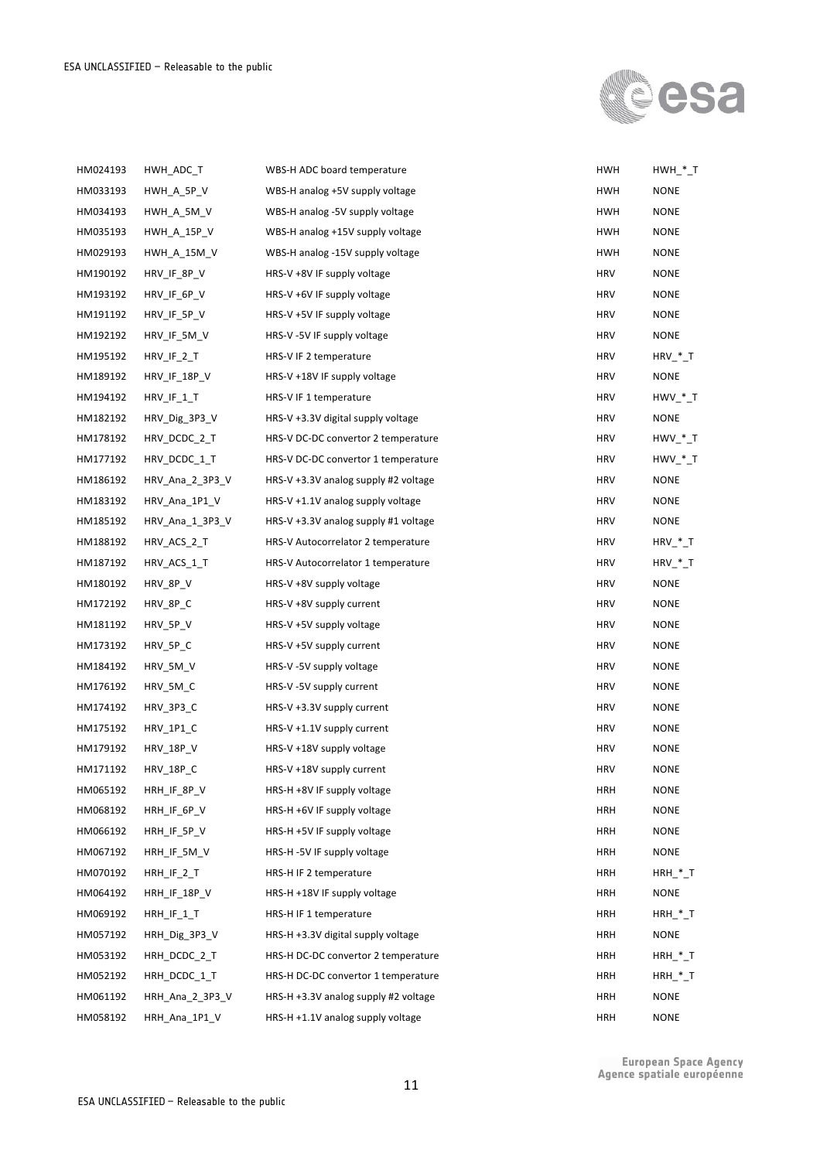

| HM024193 | HWH_ADC_T          | WBS-H ADC board temperature            | <b>HWH</b> | $HWH$ <sup>*</sup> _T |
|----------|--------------------|----------------------------------------|------------|-----------------------|
| HM033193 | HWH A 5P V         | WBS-H analog +5V supply voltage        | <b>HWH</b> | <b>NONE</b>           |
| HM034193 | HWH_A_5M_V         | WBS-H analog -5V supply voltage        | <b>HWH</b> | <b>NONE</b>           |
| HM035193 | <b>HWH_A_15P_V</b> | WBS-H analog +15V supply voltage       | <b>HWH</b> | <b>NONE</b>           |
| HM029193 | HWH A 15M V        | WBS-H analog -15V supply voltage       | <b>HWH</b> | <b>NONE</b>           |
| HM190192 | HRV_IF_8P_V        | HRS-V +8V IF supply voltage            | <b>HRV</b> | <b>NONE</b>           |
| HM193192 | HRV_IF_6P_V        | HRS-V +6V IF supply voltage            | <b>HRV</b> | <b>NONE</b>           |
| HM191192 | HRV_IF_5P_V        | HRS-V +5V IF supply voltage            | <b>HRV</b> | <b>NONE</b>           |
| HM192192 | HRV_IF_5M_V        | HRS-V-5V IF supply voltage             | <b>HRV</b> | <b>NONE</b>           |
| HM195192 | $HRV_I F_2 T$      | HRS-V IF 2 temperature                 | <b>HRV</b> | $HRV$ *_T             |
| HM189192 | HRV_IF_18P_V       | HRS-V +18V IF supply voltage           | <b>HRV</b> | <b>NONE</b>           |
| HM194192 | $HRV_I F_1 T$      | HRS-V IF 1 temperature                 | <b>HRV</b> | $H W V$ $*$ T         |
| HM182192 | HRV_Dig_3P3_V      | $HRS-V +3.3V$ digital supply voltage   | <b>HRV</b> | <b>NONE</b>           |
| HM178192 | HRV_DCDC_2_T       | HRS-V DC-DC convertor 2 temperature    | <b>HRV</b> | $HWV$ <sup>*</sup> _T |
| HM177192 | HRV_DCDC_1_T       | HRS-V DC-DC convertor 1 temperature    | <b>HRV</b> | $H W V$ * T           |
| HM186192 | HRV_Ana_2_3P3_V    | HRS-V $+3.3V$ analog supply #2 voltage | <b>HRV</b> | <b>NONE</b>           |
| HM183192 | HRV Ana 1P1 V      | HRS-V +1.1V analog supply voltage      | <b>HRV</b> | <b>NONE</b>           |
| HM185192 | HRV_Ana_1_3P3_V    | HRS-V +3.3V analog supply #1 voltage   | <b>HRV</b> | <b>NONE</b>           |
| HM188192 | HRV_ACS_2_T        | HRS-V Autocorrelator 2 temperature     | <b>HRV</b> | $HRV$ $*$ T           |
| HM187192 | HRV_ACS_1_T        | HRS-V Autocorrelator 1 temperature     | <b>HRV</b> | $HRV$ *_T             |
| HM180192 | HRV_8P_V           | HRS-V +8V supply voltage               | <b>HRV</b> | <b>NONE</b>           |
| HM172192 | HRV_8P_C           | HRS-V +8V supply current               | <b>HRV</b> | <b>NONE</b>           |
| HM181192 | HRV_5P_V           | HRS-V+5V supply voltage                | <b>HRV</b> | <b>NONE</b>           |
| HM173192 | HRV_5P_C           | HRS-V+5V supply current                | <b>HRV</b> | <b>NONE</b>           |
| HM184192 | HRV_5M_V           | HRS-V -5V supply voltage               | <b>HRV</b> | <b>NONE</b>           |
| HM176192 | HRV_5M_C           | HRS-V -5V supply current               | <b>HRV</b> | <b>NONE</b>           |
| HM174192 | HRV 3P3 C          | HRS-V +3.3V supply current             | <b>HRV</b> | <b>NONE</b>           |
| HM175192 | HRV_1P1_C          | HRS-V +1.1V supply current             | <b>HRV</b> | <b>NONE</b>           |
| HM179192 | <b>HRV_18P_V</b>   | HRS-V +18V supply voltage              | <b>HRV</b> | <b>NONE</b>           |
| HM171192 | <b>HRV_18P_C</b>   | HRS-V +18V supply current              | <b>HRV</b> | <b>NONE</b>           |
| HM065192 | HRH_IF_8P_V        | HRS-H +8V IF supply voltage            | <b>HRH</b> | <b>NONE</b>           |
| HM068192 | HRH_IF_6P_V        | HRS-H +6V IF supply voltage            | <b>HRH</b> | <b>NONE</b>           |
| HM066192 | HRH_IF_5P_V        | HRS-H +5V IF supply voltage            | <b>HRH</b> | <b>NONE</b>           |
| HM067192 | HRH_IF_5M_V        | HRS-H-5V IF supply voltage             | <b>HRH</b> | <b>NONE</b>           |
| HM070192 | HRH_IF_2_T         | HRS-H IF 2 temperature                 | <b>HRH</b> | $HRH$ <sup>*</sup> _T |
| HM064192 | HRH_IF_18P_V       | HRS-H +18V IF supply voltage           | <b>HRH</b> | NONE                  |
| HM069192 | $HRH_I F_1 T$      | HRS-H IF 1 temperature                 | <b>HRH</b> | $HRH$ <sup>*</sup> _T |
| HM057192 | HRH_Dig_3P3_V      | HRS-H +3.3V digital supply voltage     | <b>HRH</b> | NONE                  |
| HM053192 | HRH_DCDC_2_T       | HRS-H DC-DC convertor 2 temperature    | <b>HRH</b> | $HRH$ <sup>*</sup> _T |
| HM052192 | HRH_DCDC_1_T       | HRS-H DC-DC convertor 1 temperature    | <b>HRH</b> | $HRH$ <sup>*</sup> _T |
| HM061192 | HRH_Ana_2_3P3_V    | HRS-H +3.3V analog supply #2 voltage   | <b>HRH</b> | NONE                  |
| HM058192 | HRH_Ana_1P1_V      | HRS-H +1.1V analog supply voltage      | HRH        | <b>NONE</b>           |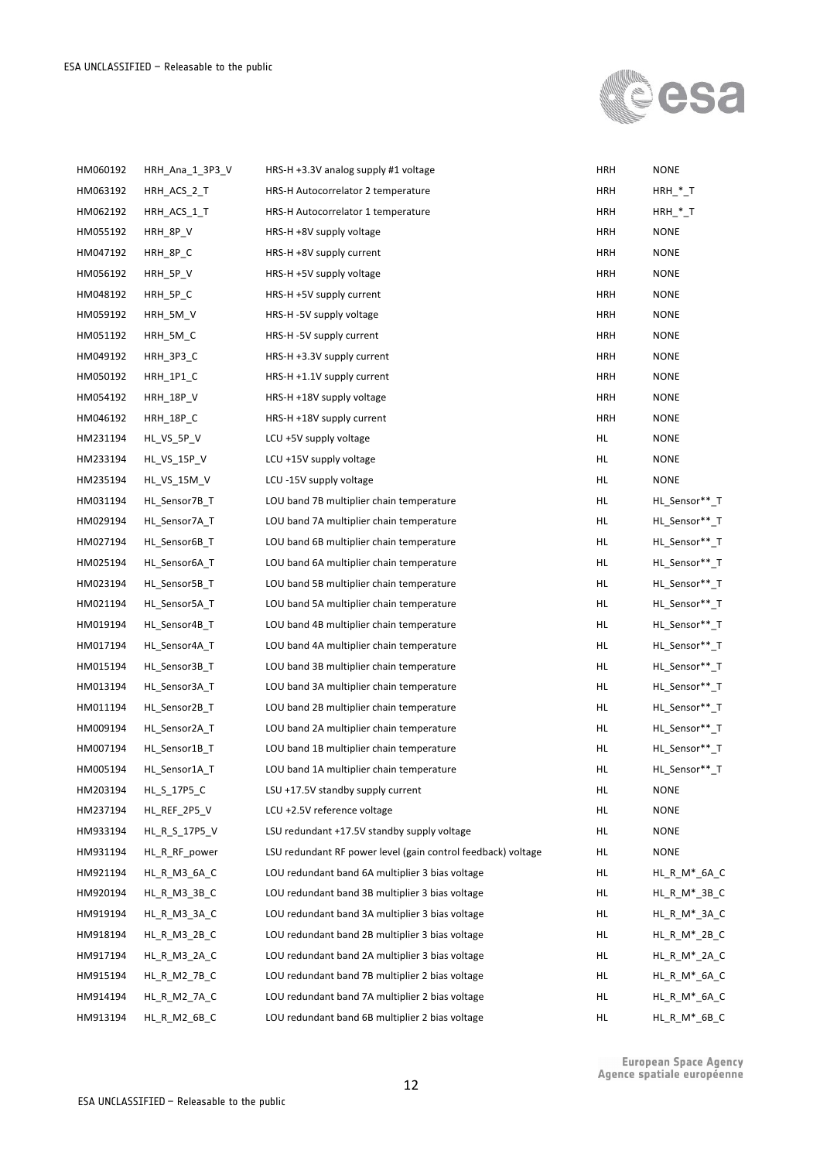

| HM060192 | HRH_Ana_1_3P3_V  | HRS-H +3.3V analog supply #1 voltage                         | <b>HRH</b> | <b>NONE</b>             |
|----------|------------------|--------------------------------------------------------------|------------|-------------------------|
| HM063192 | HRH_ACS_2_T      | HRS-H Autocorrelator 2 temperature                           | <b>HRH</b> | $HRH$ <sup>*</sup> _T   |
| HM062192 | HRH_ACS_1_T      | HRS-H Autocorrelator 1 temperature                           | HRH        | $HRH$ $T$               |
| HM055192 | HRH_8P_V         | HRS-H +8V supply voltage                                     | <b>HRH</b> | <b>NONE</b>             |
| HM047192 | HRH_8P_C         | HRS-H +8V supply current                                     | <b>HRH</b> | <b>NONE</b>             |
| HM056192 | HRH_5P_V         | HRS-H +5V supply voltage                                     | <b>HRH</b> | <b>NONE</b>             |
| HM048192 | HRH_5P_C         | HRS-H +5V supply current                                     | <b>HRH</b> | <b>NONE</b>             |
| HM059192 | HRH_5M_V         | HRS-H -5V supply voltage                                     | <b>HRH</b> | <b>NONE</b>             |
| HM051192 | HRH_5M_C         | HRS-H-5V supply current                                      | <b>HRH</b> | <b>NONE</b>             |
| HM049192 | <b>HRH_3P3_C</b> | HRS-H +3.3V supply current                                   | <b>HRH</b> | <b>NONE</b>             |
| HM050192 | <b>HRH_1P1_C</b> | HRS-H +1.1V supply current                                   | HRH        | <b>NONE</b>             |
| HM054192 | <b>HRH_18P_V</b> | HRS-H +18V supply voltage                                    | <b>HRH</b> | <b>NONE</b>             |
| HM046192 | <b>HRH_18P_C</b> | HRS-H +18V supply current                                    | <b>HRH</b> | <b>NONE</b>             |
| HM231194 | HL_VS_5P_V       | LCU+5V supply voltage                                        | HL.        | <b>NONE</b>             |
| HM233194 | HL_VS_15P_V      | LCU +15V supply voltage                                      | HL.        | <b>NONE</b>             |
| HM235194 | HL VS 15M V      | LCU-15V supply voltage                                       | HL.        | <b>NONE</b>             |
| HM031194 | HL Sensor7B T    | LOU band 7B multiplier chain temperature                     | HL.        | HL_Sensor**_T           |
| HM029194 | HL_Sensor7A_T    | LOU band 7A multiplier chain temperature                     | HL.        | HL_Sensor**_T           |
| HM027194 | HL Sensor6B T    | LOU band 6B multiplier chain temperature                     | HL.        | HL_Sensor**_T           |
| HM025194 | HL_Sensor6A_T    | LOU band 6A multiplier chain temperature                     | HL.        | HL_Sensor**_T           |
| HM023194 | HL Sensor5B T    | LOU band 5B multiplier chain temperature                     | HL.        | HL_Sensor**_T           |
| HM021194 | HL_Sensor5A_T    | LOU band 5A multiplier chain temperature                     | HL.        | HL_Sensor**_T           |
| HM019194 | HL Sensor4B T    | LOU band 4B multiplier chain temperature                     | HL.        | HL_Sensor**_T           |
| HM017194 | HL_Sensor4A_T    | LOU band 4A multiplier chain temperature                     | HL.        | HL_Sensor**_T           |
| HM015194 | HL Sensor3B T    | LOU band 3B multiplier chain temperature                     | HL.        | HL_Sensor**_T           |
| HM013194 | HL_Sensor3A_T    | LOU band 3A multiplier chain temperature                     | HL.        | HL_Sensor**_T           |
| HM011194 | HL Sensor2B T    | LOU band 2B multiplier chain temperature                     | HL.        | HL_Sensor**_T           |
| HM009194 | HL_Sensor2A_T    | LOU band 2A multiplier chain temperature                     | HL.        | HL Sensor** T           |
| HM007194 | HL Sensor1B T    | LOU band 1B multiplier chain temperature                     | HL.        | HL_Sensor**_T           |
| HM005194 | HL_Sensor1A_T    | LOU band 1A multiplier chain temperature                     | HL         | HL_Sensor**_T           |
| HM203194 | HL_S_17P5_C      | LSU +17.5V standby supply current                            | HL.        | <b>NONE</b>             |
| HM237194 | HL_REF_2P5_V     | LCU +2.5V reference voltage                                  | HL.        | <b>NONE</b>             |
| HM933194 | HL_R_S_17P5_V    | LSU redundant +17.5V standby supply voltage                  | HL.        | <b>NONE</b>             |
| HM931194 | HL_R_RF_power    | LSU redundant RF power level (gain control feedback) voltage | HL         | <b>NONE</b>             |
| HM921194 | HL R M3 6A C     | LOU redundant band 6A multiplier 3 bias voltage              | HL.        | HL_R_M*_6A_C            |
| HM920194 | HL_R_M3_3B_C     | LOU redundant band 3B multiplier 3 bias voltage              | HL         | $HL$ $R$ $M^*$ $3B$ $C$ |
| HM919194 | HL_R_M3_3A_C     | LOU redundant band 3A multiplier 3 bias voltage              | HL.        | HL_R_M*_3A_C            |
| HM918194 | HL_R_M3_2B_C     | LOU redundant band 2B multiplier 3 bias voltage              | HL.        | $HL_R_M*_{2B_C}$        |
| HM917194 | HL_R_M3_2A_C     | LOU redundant band 2A multiplier 3 bias voltage              | HL.        | $HL_R_M^*$ _2A_C        |
| HM915194 | HL_R_M2_7B_C     | LOU redundant band 7B multiplier 2 bias voltage              | HL         | HL_R_M*_6A_C            |
| HM914194 | HL_R_M2_7A_C     | LOU redundant band 7A multiplier 2 bias voltage              | HL.        | $HL_R_M*_{6A_C}$        |
| HM913194 | HL_R_M2_6B_C     | LOU redundant band 6B multiplier 2 bias voltage              | HL.        | HL_R_M*_6B_C            |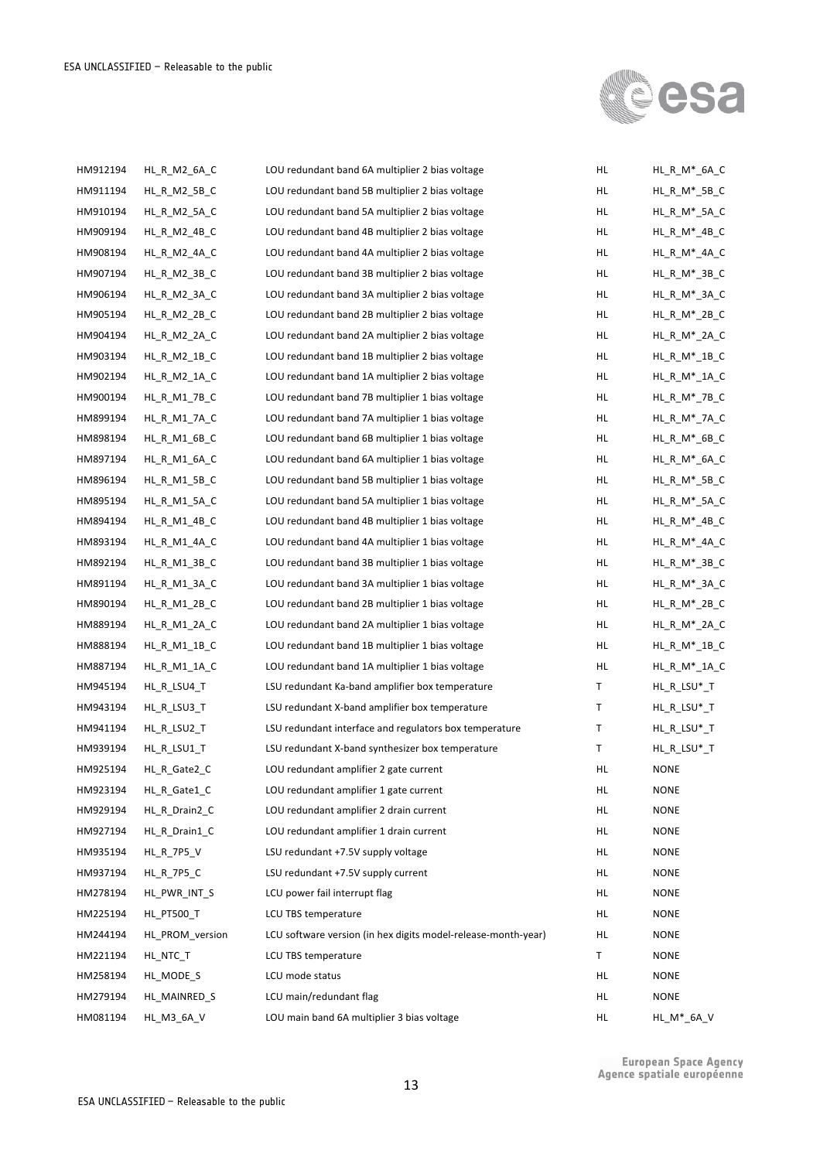

| HM912194 | HL_R_M2_6A_C      | LOU redundant band 6A multiplier 2 bias voltage               | HL  | HL_R_M*_6A_C        |
|----------|-------------------|---------------------------------------------------------------|-----|---------------------|
| HM911194 | HL_R_M2_5B_C      | LOU redundant band 5B multiplier 2 bias voltage               | HL  | HL R M* 5B C        |
| HM910194 | HL_R_M2_5A_C      | LOU redundant band 5A multiplier 2 bias voltage               | HL  | HL_R_M*_5A_C        |
| HM909194 | HL_R_M2_4B_C      | LOU redundant band 4B multiplier 2 bias voltage               | HL  | $HL_R_M*_{4B_C}$    |
| HM908194 | HL R M2 4A C      | LOU redundant band 4A multiplier 2 bias voltage               | HL  | HL_R_M*_4A_C        |
| HM907194 | HL_R_M2_3B_C      | LOU redundant band 3B multiplier 2 bias voltage               | HL  | $HL_R_M^*$ _3B_C    |
| HM906194 | HL_R_M2_3A_C      | LOU redundant band 3A multiplier 2 bias voltage               | HL  | HL_R_M*_3A_C        |
| HM905194 | HL_R_M2_2B_C      | LOU redundant band 2B multiplier 2 bias voltage               | HL  | $HL_R_M^*2B_C$      |
| HM904194 | HL_R_M2_2A_C      | LOU redundant band 2A multiplier 2 bias voltage               | HL  | $HL_R_M^*$ _2A_C    |
| HM903194 | HL_R_M2_1B_C      | LOU redundant band 1B multiplier 2 bias voltage               | HL  | $HL_R_M^*1B_C$      |
| HM902194 | HL_R_M2_1A_C      | LOU redundant band 1A multiplier 2 bias voltage               | HL  | $HL_R_M^*$ _1A_C    |
| HM900194 | HL_R_M1_7B_C      | LOU redundant band 7B multiplier 1 bias voltage               | HL  | $HL_R_M^*$ _7B_C    |
| HM899194 | HL_R_M1_7A_C      | LOU redundant band 7A multiplier 1 bias voltage               | HL  | HL_R_M*_7A_C        |
| HM898194 | HL_R_M1_6B_C      | LOU redundant band 6B multiplier 1 bias voltage               | HL  | HL_R_M*_6B_C        |
| HM897194 | HL R M1 6A C      | LOU redundant band 6A multiplier 1 bias voltage               | HL  | HL_R_M*_6A_C        |
| HM896194 | HL_R_M1_5B_C      | LOU redundant band 5B multiplier 1 bias voltage               | HL  | $HL_R_M*_{5B_C}$    |
| HM895194 | HL R M1 5A C      | LOU redundant band 5A multiplier 1 bias voltage               | HL  | $HL$ R_M $^*$ _5A_C |
| HM894194 | HL_R_M1_4B_C      | LOU redundant band 4B multiplier 1 bias voltage               | HL  | $HL_R_M*_{4B_C}$    |
| HM893194 | HL_R_M1_4A_C      | LOU redundant band 4A multiplier 1 bias voltage               | HL  | $HL_R_M^*$ _4A_C    |
| HM892194 | HL_R_M1_3B_C      | LOU redundant band 3B multiplier 1 bias voltage               | HL  | $HL_R_M^*$ _3B_C    |
| HM891194 | HL_R_M1_3A_C      | LOU redundant band 3A multiplier 1 bias voltage               | HL  | $HL$ R_M $^*$ _3A_C |
| HM890194 | HL_R_M1_2B_C      | LOU redundant band 2B multiplier 1 bias voltage               | HL  | $HL_R_M^*2B_C$      |
| HM889194 | HL_R_M1_2A_C      | LOU redundant band 2A multiplier 1 bias voltage               | HL  | HL_R_M*_2A_C        |
| HM888194 | $HL_R_M1_1B_C$    | LOU redundant band 1B multiplier 1 bias voltage               | HL  | $HL_R_M^*1B_C$      |
| HM887194 | $HL$ R $M1$ 1A C  | LOU redundant band 1A multiplier 1 bias voltage               | HL  | $HL_R_M^*$ _1A_C    |
| HM945194 | HL_R_LSU4_T       | LSU redundant Ka-band amplifier box temperature               | Т   | HL_R_LSU*_T         |
| HM943194 | HL_R_LSU3_T       | LSU redundant X-band amplifier box temperature                | Т   | $HL_R_LSU^*$        |
| HM941194 | HL_R_LSU2_T       | LSU redundant interface and regulators box temperature        | Т   | $HL_R$ _LSU*_T      |
| HM939194 | HL_R_LSU1_T       | LSU redundant X-band synthesizer box temperature              | т   | HL_R_LSU*_T         |
| HM925194 | HL_R_Gate2_C      | LOU redundant amplifier 2 gate current                        | HL  | <b>NONE</b>         |
| HM923194 | HL_R_Gate1_C      | LOU redundant amplifier 1 gate current                        | HL  | <b>NONE</b>         |
| HM929194 | HL_R_Drain2_C     | LOU redundant amplifier 2 drain current                       | HL  | <b>NONE</b>         |
| HM927194 | HL R Drain1 C     | LOU redundant amplifier 1 drain current                       | HL. | <b>NONE</b>         |
| HM935194 | HL_R_7P5_V        | LSU redundant +7.5V supply voltage                            | HL  | <b>NONE</b>         |
| HM937194 | <b>HL_R_7P5_C</b> | LSU redundant +7.5V supply current                            | HL. | <b>NONE</b>         |
| HM278194 | HL PWR INT S      | LCU power fail interrupt flag                                 | HL. | <b>NONE</b>         |
| HM225194 | <b>HL_PT500_T</b> | LCU TBS temperature                                           | HL. | <b>NONE</b>         |
| HM244194 | HL PROM version   | LCU software version (in hex digits model-release-month-year) | HL. | <b>NONE</b>         |
| HM221194 | HL_NTC_T          | LCU TBS temperature                                           | Τ   | <b>NONE</b>         |
| HM258194 | HL_MODE_S         | LCU mode status                                               | HL. | <b>NONE</b>         |
| HM279194 | HL_MAINRED_S      | LCU main/redundant flag                                       | HL  | <b>NONE</b>         |
| HM081194 | HL_M3_6A_V        | LOU main band 6A multiplier 3 bias voltage                    | HL  | HL_M*_6A_V          |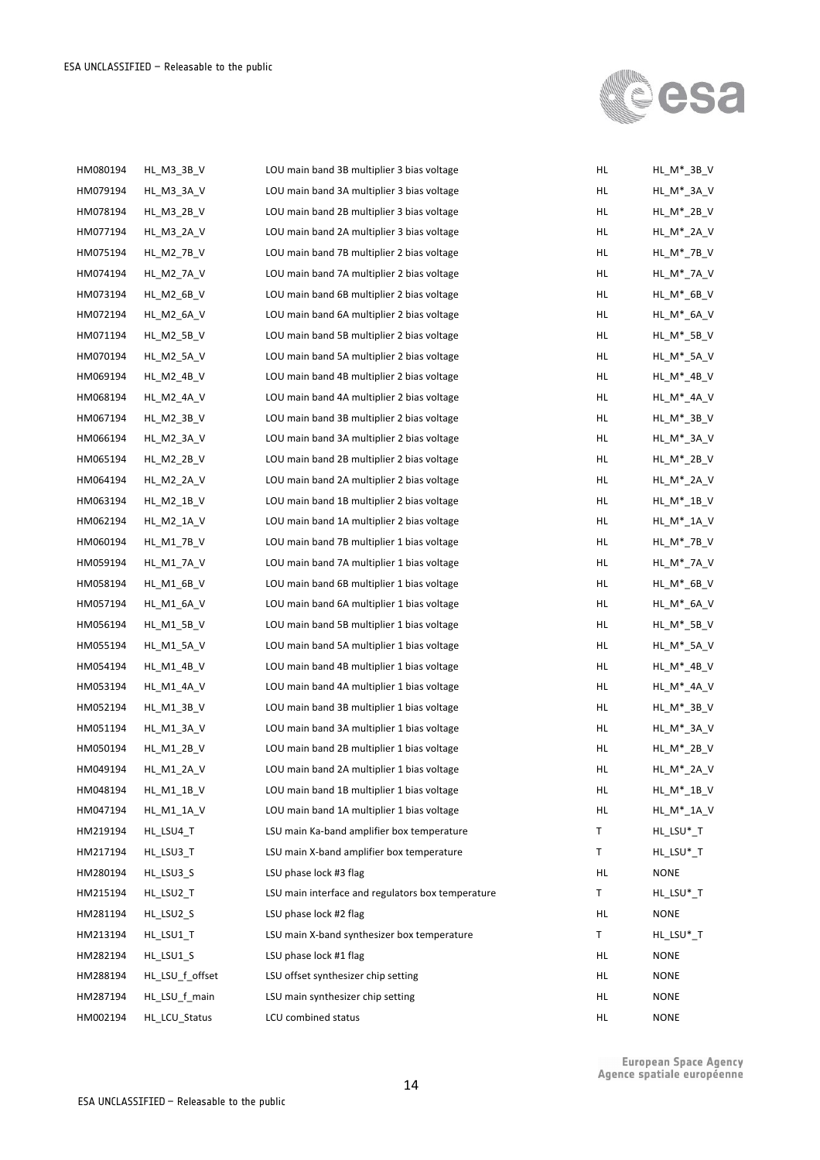

| HM080194 | HL_M3_3B_V        | LOU main band 3B multiplier 3 bias voltage        | HL  | HL_M*_3B_V      |
|----------|-------------------|---------------------------------------------------|-----|-----------------|
| HM079194 | HL_M3_3A_V        | LOU main band 3A multiplier 3 bias voltage        | HL. | HL M* 3A V      |
| HM078194 | HL_M3_2B_V        | LOU main band 2B multiplier 3 bias voltage        | HL  | HL_M*_2B_V      |
| HM077194 | HL_M3_2A_V        | LOU main band 2A multiplier 3 bias voltage        | HL  | HL_M*_2A_V      |
| HM075194 | HL_M2_7B_V        | LOU main band 7B multiplier 2 bias voltage        | HL  | HL_M*_7B_V      |
| HM074194 | <b>HL_M2_7A_V</b> | LOU main band 7A multiplier 2 bias voltage        | HL  | HL_M*_7A_V      |
| HM073194 | HL_M2_6B_V        | LOU main band 6B multiplier 2 bias voltage        | HL  | HL_M*_6B_V      |
| HM072194 | HL_M2_6A_V        | LOU main band 6A multiplier 2 bias voltage        | HL  | HL_M*_6A_V      |
| HM071194 | HL_M2_5B_V        | LOU main band 5B multiplier 2 bias voltage        | HL. | $HL_M^*$ _5B_V  |
| HM070194 | HL M2 5A V        | LOU main band 5A multiplier 2 bias voltage        | HL  | HL_M*_5A_V      |
| HM069194 | HL_M2_4B_V        | LOU main band 4B multiplier 2 bias voltage        | HL  | HL_M*_4B_V      |
| HM068194 | HL_M2_4A_V        | LOU main band 4A multiplier 2 bias voltage        | HL  | HL_M*_4A_V      |
| HM067194 | HL_M2_3B_V        | LOU main band 3B multiplier 2 bias voltage        | HL. | HL_M*_3B_V      |
| HM066194 | HL_M2_3A_V        | LOU main band 3A multiplier 2 bias voltage        | HL  | HL_M*_3A_V      |
| HM065194 | HL_M2_2B_V        | LOU main band 2B multiplier 2 bias voltage        | HL  | HL_M*_2B_V      |
| HM064194 | HL_M2_2A_V        | LOU main band 2A multiplier 2 bias voltage        | HL  | HL_M*_2A_V      |
| HM063194 | HL M2 1B V        | LOU main band 1B multiplier 2 bias voltage        | HL. | $HL_M^*$ _1B_V  |
| HM062194 | HL_M2_1A_V        | LOU main band 1A multiplier 2 bias voltage        | HL  | HL_M*_1A_V      |
| HM060194 | HL_M1_7B_V        | LOU main band 7B multiplier 1 bias voltage        | HL  | HL_M*_7B_V      |
| HM059194 | <b>HL_M1_7A_V</b> | LOU main band 7A multiplier 1 bias voltage        | HL  | HL_M*_7A_V      |
| HM058194 | HL_M1_6B_V        | LOU main band 6B multiplier 1 bias voltage        | HL  | HL_M*_6B_V      |
| HM057194 | HL_M1_6A_V        | LOU main band 6A multiplier 1 bias voltage        | HL  | HL_M*_6A_V      |
| HM056194 | HL_M1_5B_V        | LOU main band 5B multiplier 1 bias voltage        | HL  | HL_M*_5B_V      |
| HM055194 | HL_M1_5A_V        | LOU main band 5A multiplier 1 bias voltage        | HL  | HL_M*_5A_V      |
| HM054194 | HL_M1_4B_V        | LOU main band 4B multiplier 1 bias voltage        | HL  | $HL_M^*$ _4B_V  |
| HM053194 | HL_M1_4A_V        | LOU main band 4A multiplier 1 bias voltage        | HL  | $HL_M^*$ _4A_V  |
| HM052194 | HL M1 3B V        | LOU main band 3B multiplier 1 bias voltage        | HL  | $HL$ $M^*$ 3B V |
| HM051194 | HL_M1_3A_V        | LOU main band 3A multiplier 1 bias voltage        | HL  | HL_M*_3A_V      |
| HM050194 | HL M1 2B V        | LOU main band 2B multiplier 1 bias voltage        | HL  | HL_M*_2B_V      |
| HM049194 | HL_M1_2A_V        | LOU main band 2A multiplier 1 bias voltage        | HL  | HL_M*_2A_V      |
| HM048194 | HL_M1_1B_V        | LOU main band 1B multiplier 1 bias voltage        | HL. | HL_M*_1B_V      |
| HM047194 | HL_M1_1A_V        | LOU main band 1A multiplier 1 bias voltage        | HL. | HL_M*_1A_V      |
| HM219194 | HL_LSU4_T         | LSU main Ka-band amplifier box temperature        | Τ   | HL_LSU*_T       |
| HM217194 | HL_LSU3_T         | LSU main X-band amplifier box temperature         | Т   | HL_LSU*_T       |
| HM280194 | HL_LSU3_S         | LSU phase lock #3 flag                            | HL  | <b>NONE</b>     |
| HM215194 | HL_LSU2_T         | LSU main interface and regulators box temperature | Τ   | HL_LSU*_T       |
| HM281194 | HL_LSU2_S         | LSU phase lock #2 flag                            | HL  | NONE            |
| HM213194 | HL_LSU1_T         | LSU main X-band synthesizer box temperature       | Τ   | HL_LSU*_T       |
| HM282194 | HL_LSU1_S         | LSU phase lock #1 flag                            | HL. | <b>NONE</b>     |
| HM288194 | HL_LSU_f_offset   | LSU offset synthesizer chip setting               | HL. | <b>NONE</b>     |
| HM287194 | HL_LSU_f_main     | LSU main synthesizer chip setting                 | HL. | <b>NONE</b>     |
| HM002194 | HL_LCU_Status     | LCU combined status                               | HL  | <b>NONE</b>     |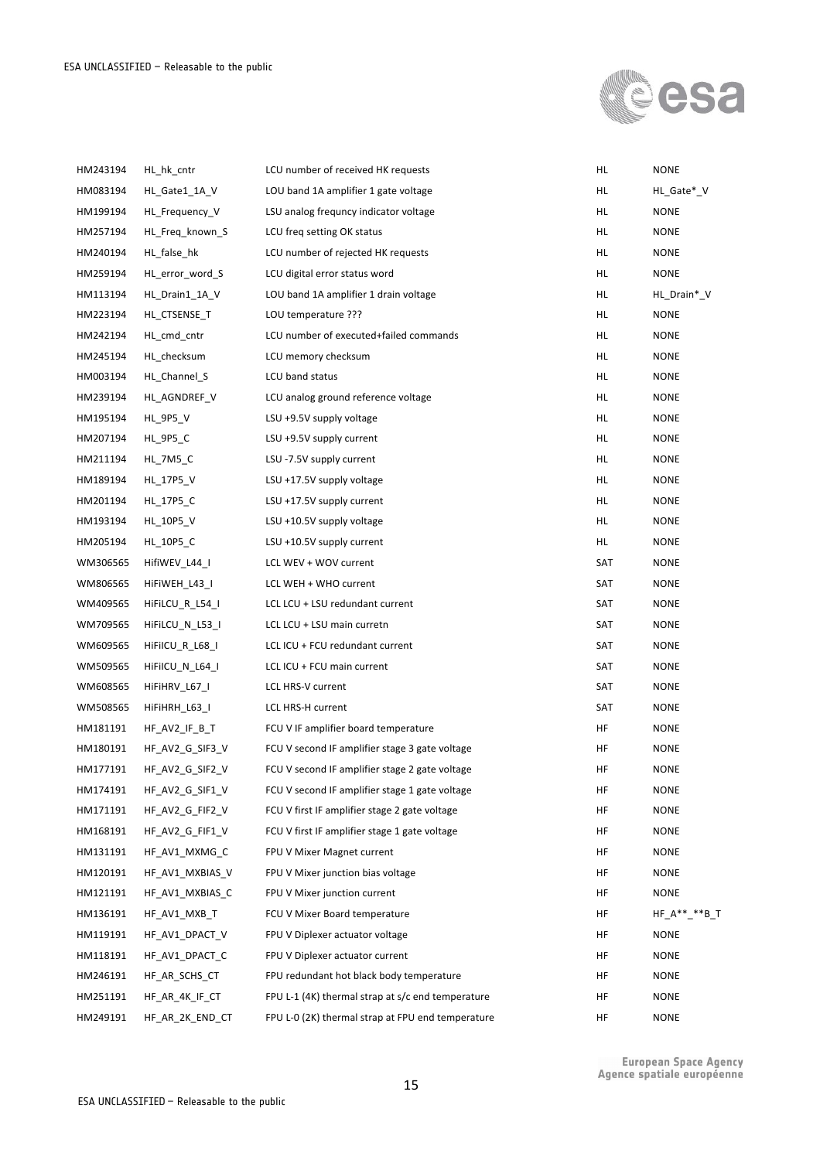

| HM243194 | HL hk cntr      | LCU number of received HK requests                | HL. | <b>NONE</b>   |
|----------|-----------------|---------------------------------------------------|-----|---------------|
| HM083194 | HL_Gate1_1A_V   | LOU band 1A amplifier 1 gate voltage              | HL. | HL_Gate*_V    |
| HM199194 | HL_Frequency_V  | LSU analog frequncy indicator voltage             | HL. | <b>NONE</b>   |
| HM257194 | HL_Freq_known_S | LCU freq setting OK status                        | HL. | NONE          |
| HM240194 | HL_false_hk     | LCU number of rejected HK requests                | HL. | <b>NONE</b>   |
| HM259194 | HL_error_word_S | LCU digital error status word                     | HL. | <b>NONE</b>   |
| HM113194 | HL_Drain1_1A_V  | LOU band 1A amplifier 1 drain voltage             | HL. | HL_Drain*_V   |
| HM223194 | HL_CTSENSE_T    | LOU temperature ???                               | HL. | <b>NONE</b>   |
| HM242194 | HL_cmd_cntr     | LCU number of executed+failed commands            | HL. | <b>NONE</b>   |
| HM245194 | HL_checksum     | LCU memory checksum                               | HL. | NONE          |
| HM003194 | HL_Channel_S    | LCU band status                                   | HL. | <b>NONE</b>   |
| HM239194 | HL_AGNDREF_V    | LCU analog ground reference voltage               | HL. | NONE          |
| HM195194 | <b>HL_9P5_V</b> | LSU +9.5V supply voltage                          | HL. | NONE          |
| HM207194 | <b>HL_9P5_C</b> | LSU +9.5V supply current                          | HL. | NONE          |
| HM211194 | HL 7M5 C        | LSU -7.5V supply current                          | HL. | <b>NONE</b>   |
| HM189194 | HL_17P5_V       | LSU +17.5V supply voltage                         | HL. | NONE          |
| HM201194 | HL 17P5 C       | LSU +17.5V supply current                         | HL. | <b>NONE</b>   |
| HM193194 | HL_10P5_V       | LSU +10.5V supply voltage                         | HL. | NONE          |
| HM205194 | HL_10P5_C       | LSU +10.5V supply current                         | HL. | <b>NONE</b>   |
| WM306565 | HifiWEV_L44_I   | LCL WEV + WOV current                             | SAT | <b>NONE</b>   |
| WM806565 | HiFiWEH_L43_I   | LCL WEH + WHO current                             | SAT | <b>NONE</b>   |
| WM409565 | HiFiLCU_R_L54_I | LCL LCU + LSU redundant current                   | SAT | NONE          |
| WM709565 | HiFiLCU_N_L53_I | LCL LCU + LSU main curretn                        | SAT | NONE          |
| WM609565 | HiFilCU_R_L68_I | LCL ICU + FCU redundant current                   | SAT | NONE          |
| WM509565 | HiFilCU_N_L64_I | LCL ICU + FCU main current                        | SAT | NONE          |
| WM608565 | HiFiHRV_L67_I   | LCL HRS-V current                                 | SAT | NONE          |
| WM508565 | HiFiHRH_L63_I   | LCL HRS-H current                                 | SAT | <b>NONE</b>   |
| HM181191 | HF AV2 IF B T   | FCU V IF amplifier board temperature              | HF  | NONE          |
| HM180191 | HF_AV2_G_SIF3_V | FCU V second IF amplifier stage 3 gate voltage    | HF  | <b>NONE</b>   |
| HM177191 | HF AV2 G SIF2 V | FCU V second IF amplifier stage 2 gate voltage    | HF  | <b>NONE</b>   |
| HM174191 | HF_AV2_G_SIF1_V | FCU V second IF amplifier stage 1 gate voltage    | HF  | NONE          |
| HM171191 | HF_AV2_G_FIF2_V | FCU V first IF amplifier stage 2 gate voltage     | HF  | <b>NONE</b>   |
| HM168191 | HF_AV2_G_FIF1_V | FCU V first IF amplifier stage 1 gate voltage     | HF  | <b>NONE</b>   |
| HM131191 | HF_AV1_MXMG_C   | FPU V Mixer Magnet current                        | HF  | <b>NONE</b>   |
| HM120191 | HF_AV1_MXBIAS_V | FPU V Mixer junction bias voltage                 | HF  | <b>NONE</b>   |
| HM121191 | HF_AV1_MXBIAS_C | FPU V Mixer junction current                      | HF  | <b>NONE</b>   |
| HM136191 | HF_AV1_MXB_T    | FCU V Mixer Board temperature                     | HF  | $HF_A**-*B_T$ |
| HM119191 | HF AV1 DPACT V  | FPU V Diplexer actuator voltage                   | HF  | <b>NONE</b>   |
| HM118191 | HF AV1 DPACT C  | FPU V Diplexer actuator current                   | HF  | <b>NONE</b>   |
| HM246191 | HF_AR_SCHS_CT   | FPU redundant hot black body temperature          | HF  | <b>NONE</b>   |
| HM251191 | HF_AR_4K_IF_CT  | FPU L-1 (4K) thermal strap at s/c end temperature | HF  | <b>NONE</b>   |
| HM249191 | HF_AR_2K_END_CT | FPU L-0 (2K) thermal strap at FPU end temperature | HF  | <b>NONE</b>   |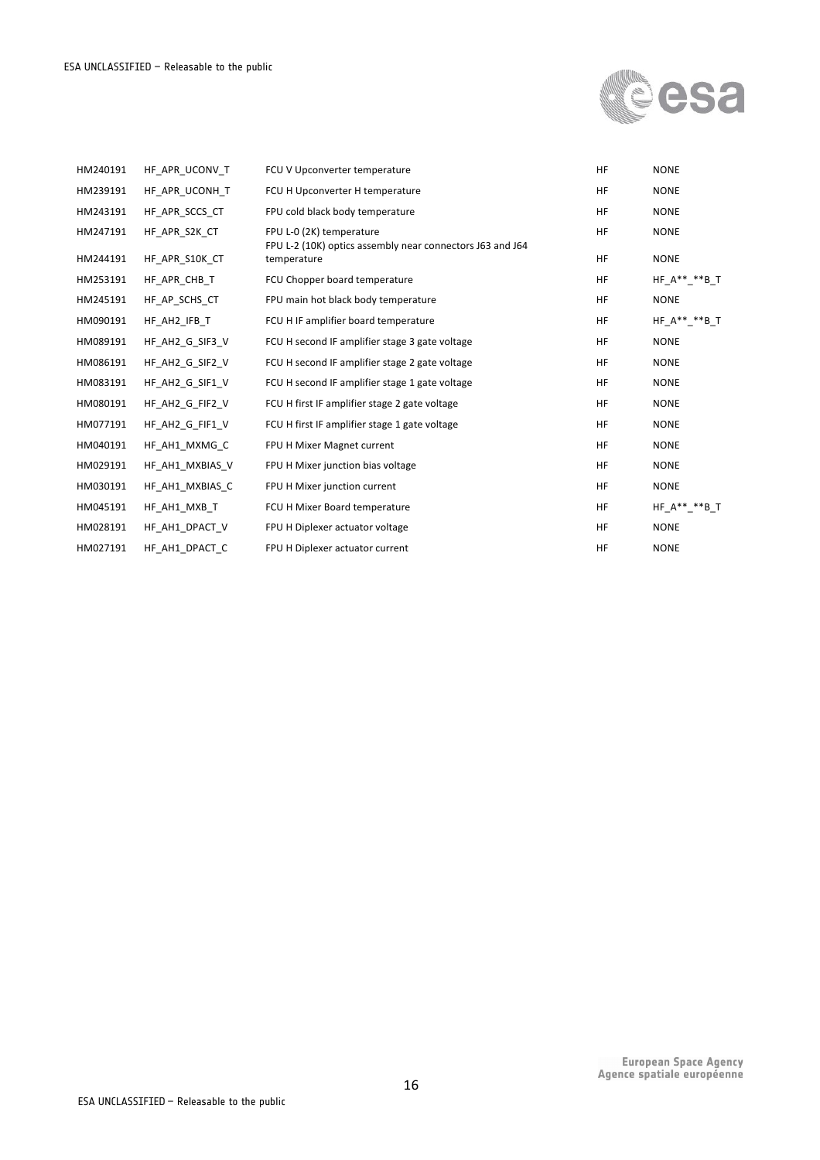

| HM240191 | HF APR UCONV T  | FCU V Upconverter temperature                                                         | <b>HF</b> | <b>NONE</b>          |
|----------|-----------------|---------------------------------------------------------------------------------------|-----------|----------------------|
| HM239191 | HF APR UCONH T  | FCU H Upconverter H temperature                                                       | <b>HF</b> | <b>NONE</b>          |
| HM243191 | HF APR SCCS CT  | FPU cold black body temperature                                                       | <b>HF</b> | <b>NONE</b>          |
| HM247191 | HF APR S2K CT   | FPU L-0 (2K) temperature<br>FPU L-2 (10K) optics assembly near connectors J63 and J64 | <b>HF</b> | <b>NONE</b>          |
| HM244191 | HF APR S10K CT  | temperature                                                                           | <b>HF</b> | <b>NONE</b>          |
| HM253191 | HF APR CHB T    | FCU Chopper board temperature                                                         | <b>HF</b> | $HF_A^{**}$ ** $B_T$ |
| HM245191 | HF AP SCHS CT   | FPU main hot black body temperature                                                   | <b>HF</b> | <b>NONE</b>          |
| HM090191 | HF AH2 IFB T    | FCU H IF amplifier board temperature                                                  | <b>HF</b> | HF $A*****B$ T       |
| HM089191 | HF AH2 G SIF3 V | FCU H second IF amplifier stage 3 gate voltage                                        | <b>HF</b> | <b>NONE</b>          |
| HM086191 | HF AH2 G SIF2 V | FCU H second IF amplifier stage 2 gate voltage                                        | <b>HF</b> | <b>NONE</b>          |
| HM083191 | HF AH2 G SIF1 V | FCU H second IF amplifier stage 1 gate voltage                                        | <b>HF</b> | <b>NONE</b>          |
| HM080191 | HF AH2 G FIF2 V | FCU H first IF amplifier stage 2 gate voltage                                         | <b>HF</b> | <b>NONE</b>          |
| HM077191 | HF AH2 G FIF1 V | FCU H first IF amplifier stage 1 gate voltage                                         | <b>HF</b> | <b>NONE</b>          |
| HM040191 | HF AH1 MXMG C   | FPU H Mixer Magnet current                                                            | <b>HF</b> | <b>NONE</b>          |
| HM029191 | HF AH1 MXBIAS V | FPU H Mixer junction bias voltage                                                     | <b>HF</b> | <b>NONE</b>          |
| HM030191 | HF AH1 MXBIAS C | FPU H Mixer junction current                                                          | <b>HF</b> | <b>NONE</b>          |
| HM045191 | HF AH1 MXB T    | FCU H Mixer Board temperature                                                         | <b>HF</b> | $HF_A**-*B_T$        |
| HM028191 | HF AH1 DPACT V  | FPU H Diplexer actuator voltage                                                       | <b>HF</b> | <b>NONE</b>          |
| HM027191 | HF AH1 DPACT C  | FPU H Diplexer actuator current                                                       | <b>HF</b> | <b>NONE</b>          |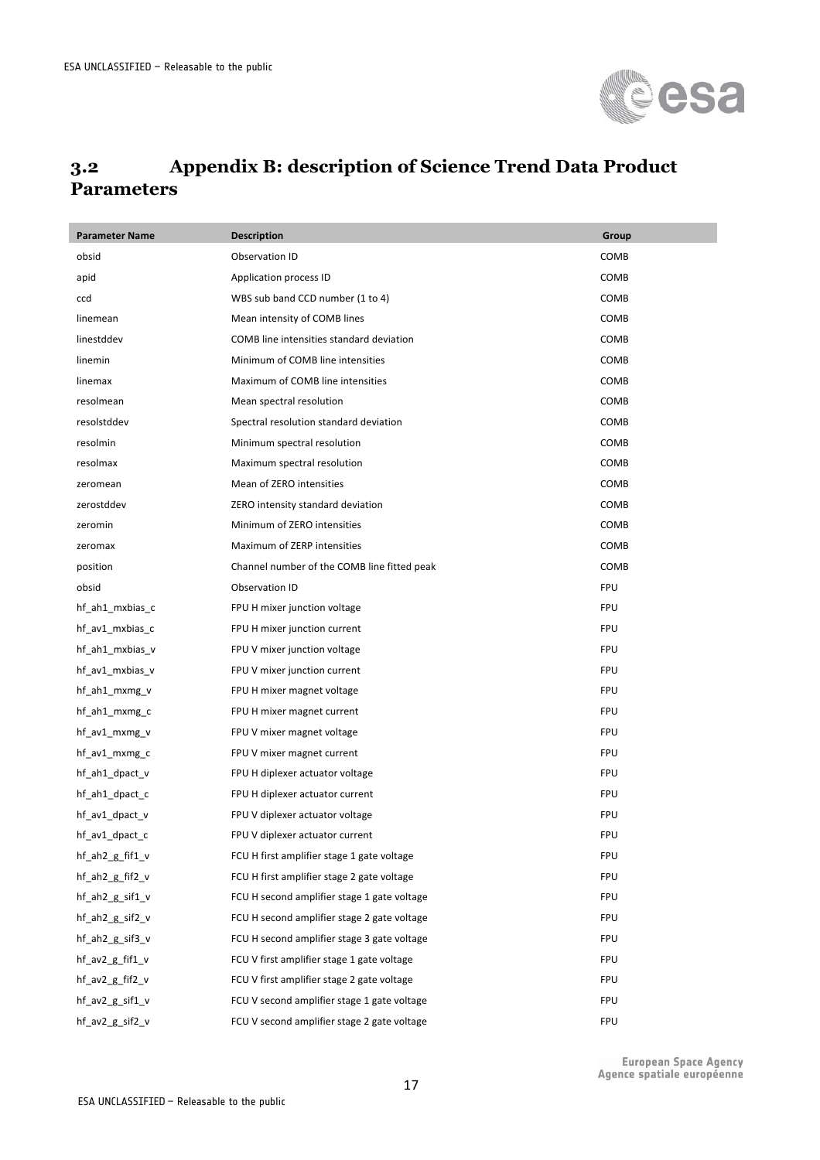

#### **3.2 Appendix B: description of Science Trend Data Product Parameters**

| <b>Parameter Name</b> | <b>Description</b>                          | Group      |
|-----------------------|---------------------------------------------|------------|
| obsid                 | Observation ID                              | COMB       |
| apid                  | Application process ID                      | COMB       |
| ccd                   | WBS sub band CCD number (1 to 4)            | COMB       |
| linemean              | Mean intensity of COMB lines                | COMB       |
| linestddev            | COMB line intensities standard deviation    | COMB       |
| linemin               | Minimum of COMB line intensities            | COMB       |
| linemax               | Maximum of COMB line intensities            | COMB       |
| resolmean             | Mean spectral resolution                    | COMB       |
| resolstddev           | Spectral resolution standard deviation      | COMB       |
| resolmin              | Minimum spectral resolution                 | COMB       |
| resolmax              | Maximum spectral resolution                 | COMB       |
| zeromean              | Mean of ZERO intensities                    | COMB       |
| zerostddev            | ZERO intensity standard deviation           | COMB       |
| zeromin               | Minimum of ZERO intensities                 | COMB       |
| zeromax               | Maximum of ZERP intensities                 | COMB       |
| position              | Channel number of the COMB line fitted peak | COMB       |
| obsid                 | Observation ID                              | <b>FPU</b> |
| hf ah1 mxbias c       | FPU H mixer junction voltage                | <b>FPU</b> |
| hf_av1_mxbias_c       | FPU H mixer junction current                | <b>FPU</b> |
| hf_ah1_mxbias_v       | FPU V mixer junction voltage                | <b>FPU</b> |
| hf_av1_mxbias_v       | FPU V mixer junction current                | <b>FPU</b> |
| hf_ah1_mxmg_v         | FPU H mixer magnet voltage                  | <b>FPU</b> |
| hf_ah1_mxmg_c         | FPU H mixer magnet current                  | <b>FPU</b> |
| hf_av1_mxmg_v         | FPU V mixer magnet voltage                  | <b>FPU</b> |
| hf_av1_mxmg_c         | FPU V mixer magnet current                  | <b>FPU</b> |
| hf_ah1_dpact_v        | FPU H diplexer actuator voltage             | <b>FPU</b> |
| hf_ah1_dpact_c        | FPU H diplexer actuator current             | <b>FPU</b> |
| hf_av1_dpact_v        | FPU V diplexer actuator voltage             | <b>FPU</b> |
| hf_av1_dpact_c        | FPU V diplexer actuator current             | FPU        |
| hf_ah2_g_fif1_v       | FCU H first amplifier stage 1 gate voltage  | FPU        |
| hf_ah2_g_fif2_v       | FCU H first amplifier stage 2 gate voltage  | FPU        |
| hf_ah2_g_sif1_v       | FCU H second amplifier stage 1 gate voltage | <b>FPU</b> |
| hf ah2 g sif2 v       | FCU H second amplifier stage 2 gate voltage | <b>FPU</b> |
| hf_ah2_g_sif3_v       | FCU H second amplifier stage 3 gate voltage | FPU        |
| hf_av2_g_fif1_v       | FCU V first amplifier stage 1 gate voltage  | FPU        |
| hf_av2_g_fif2_v       | FCU V first amplifier stage 2 gate voltage  | FPU        |
| hf_av2_g_sif1_v       | FCU V second amplifier stage 1 gate voltage | FPU        |
| hf_av2_g_sif2_v       | FCU V second amplifier stage 2 gate voltage | FPU        |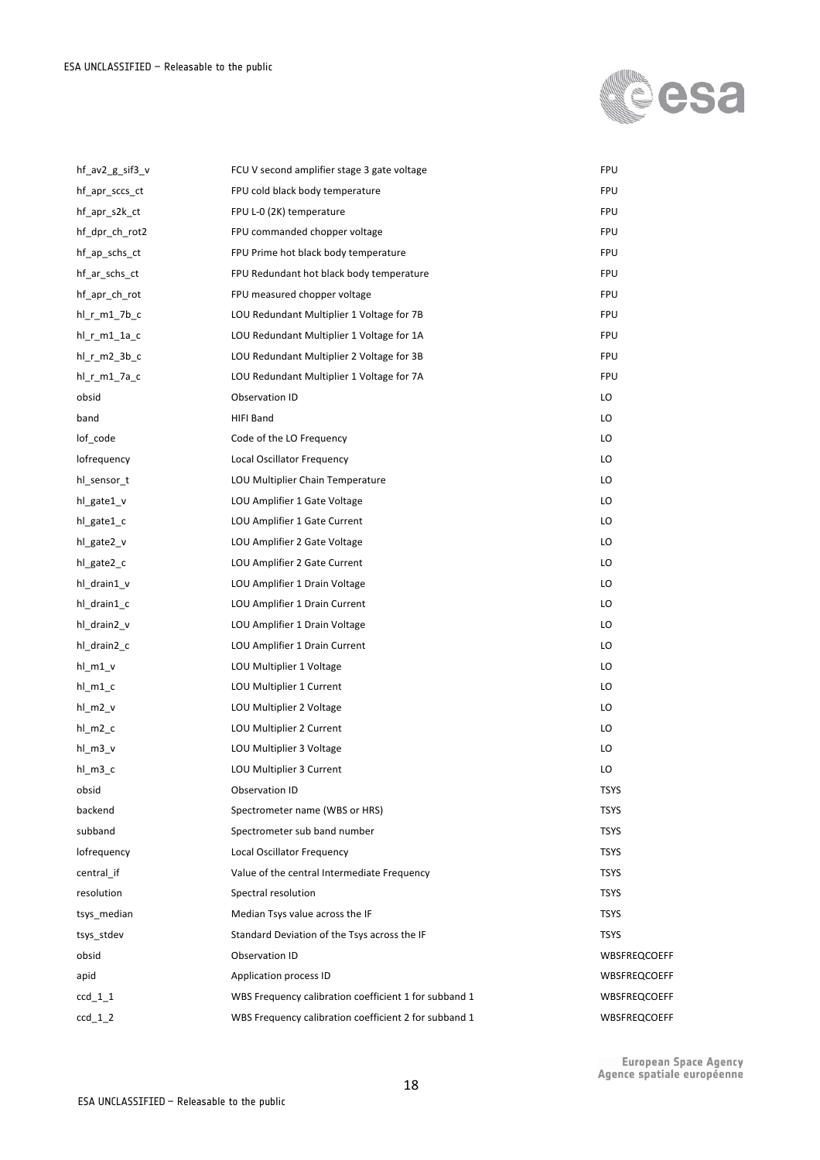

| hf $av2$ g sif $3$ v | FCU V second amplifier stage 3 gate voltage           | <b>FPU</b>   |
|----------------------|-------------------------------------------------------|--------------|
| hf_apr_sccs_ct       | FPU cold black body temperature                       | <b>FPU</b>   |
| hf apr s2k ct        | FPU L-0 (2K) temperature                              | <b>FPU</b>   |
| hf_dpr_ch_rot2       | FPU commanded chopper voltage                         | <b>FPU</b>   |
| hf_ap_schs_ct        | FPU Prime hot black body temperature                  | <b>FPU</b>   |
| hf_ar_schs_ct        | FPU Redundant hot black body temperature              | <b>FPU</b>   |
| hf_apr_ch_rot        | FPU measured chopper voltage                          | <b>FPU</b>   |
| $hl_r_m1_7b_c$       | LOU Redundant Multiplier 1 Voltage for 7B             | <b>FPU</b>   |
| $hl_r_m1_1c$         | LOU Redundant Multiplier 1 Voltage for 1A             | <b>FPU</b>   |
| hl r m2 3b c         | LOU Redundant Multiplier 2 Voltage for 3B             | <b>FPU</b>   |
| hl_r_m1_7a_c         | LOU Redundant Multiplier 1 Voltage for 7A             | <b>FPU</b>   |
| obsid                | Observation ID                                        | LO           |
| band                 | HIFI Band                                             | LO           |
| lof_code             | Code of the LO Frequency                              | LO           |
| lofrequency          | Local Oscillator Frequency                            | LO           |
| hl_sensor_t          | LOU Multiplier Chain Temperature                      | LO           |
| hl_gate1_v           | LOU Amplifier 1 Gate Voltage                          | LO           |
| hl_gate1_c           | LOU Amplifier 1 Gate Current                          | LO           |
| hl_gate2_v           | LOU Amplifier 2 Gate Voltage                          | LO           |
| hl_gate2_c           | LOU Amplifier 2 Gate Current                          | LO           |
| hl drain1 v          | LOU Amplifier 1 Drain Voltage                         | LO           |
| hl_drain1_c          | LOU Amplifier 1 Drain Current                         | LO           |
| hl drain2 v          | LOU Amplifier 1 Drain Voltage                         | LO           |
| hl_drain2_c          | LOU Amplifier 1 Drain Current                         | LO           |
| $hl_m1_v$            | LOU Multiplier 1 Voltage                              | LO           |
| $hl_m1_c$            | LOU Multiplier 1 Current                              | LO           |
| $hl_m2_v$            | LOU Multiplier 2 Voltage                              | LO           |
| $hl_m2_c$            | LOU Multiplier 2 Current                              | LO           |
| $hl_m3_v$            | LOU Multiplier 3 Voltage                              | LO           |
| hl_m3_c              | LOU Multiplier 3 Current                              | LO           |
| obsid                | Observation ID                                        | <b>TSYS</b>  |
| backend              | Spectrometer name (WBS or HRS)                        | <b>TSYS</b>  |
| subband              | Spectrometer sub band number                          | <b>TSYS</b>  |
| lofrequency          | Local Oscillator Frequency                            | <b>TSYS</b>  |
| central if           | Value of the central Intermediate Frequency           | <b>TSYS</b>  |
| resolution           | Spectral resolution                                   | <b>TSYS</b>  |
| tsys_median          | Median Tsys value across the IF                       | <b>TSYS</b>  |
| tsys_stdev           | Standard Deviation of the Tsys across the IF          | <b>TSYS</b>  |
| obsid                | Observation ID                                        | WBSFREQCOEFF |
| apid                 | Application process ID                                | WBSFREQCOEFF |
| $ccd_1_1$            | WBS Frequency calibration coefficient 1 for subband 1 | WBSFREQCOEFF |
| $ccd_1_2$            | WBS Frequency calibration coefficient 2 for subband 1 | WBSFREQCOEFF |